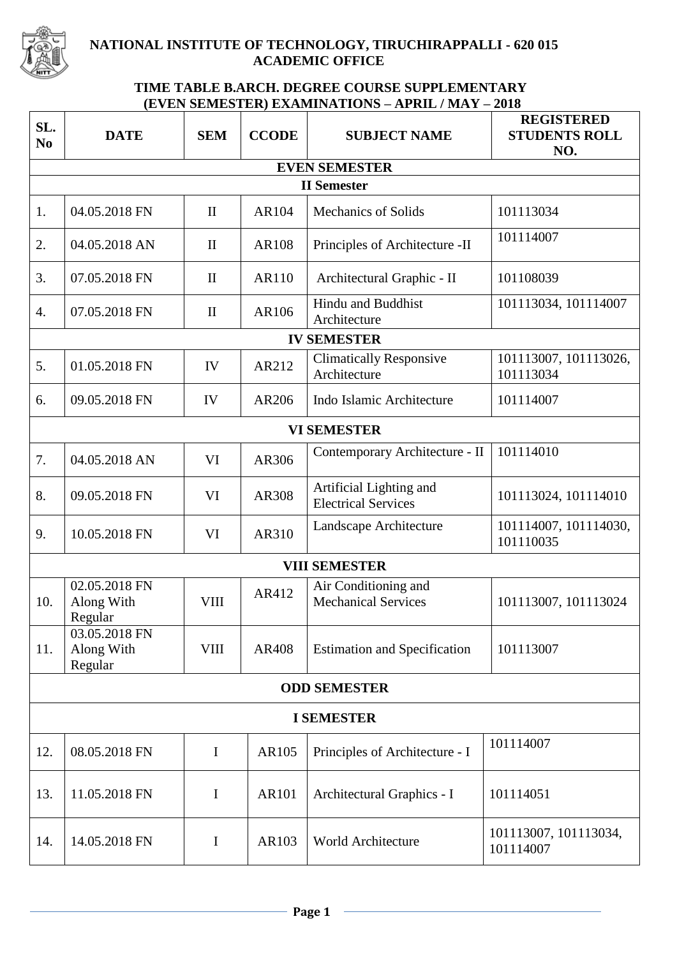

## **NATIONAL INSTITUTE OF TECHNOLOGY, TIRUCHIRAPPALLI - 620 015 ACADEMIC OFFICE**

## **TIME TABLE B.ARCH. DEGREE COURSE SUPPLEMENTARY (EVEN SEMESTER) EXAMINATIONS – APRIL / MAY – 2018**

| SL.<br>N <sub>0</sub> | <b>DATE</b>                            | <b>SEM</b>   | <b>CCODE</b> | <b>SUBJECT NAME</b>                                   | <b>REGISTERED</b><br><b>STUDENTS ROLL</b><br>NO. |  |  |  |  |
|-----------------------|----------------------------------------|--------------|--------------|-------------------------------------------------------|--------------------------------------------------|--|--|--|--|
| <b>EVEN SEMESTER</b>  |                                        |              |              |                                                       |                                                  |  |  |  |  |
| <b>II</b> Semester    |                                        |              |              |                                                       |                                                  |  |  |  |  |
| 1.                    | 04.05.2018 FN                          | $\mathbf{I}$ | AR104        | <b>Mechanics of Solids</b>                            | 101113034                                        |  |  |  |  |
| 2.                    | 04.05.2018 AN                          | $\mathbf{I}$ | <b>AR108</b> | Principles of Architecture -II                        | 101114007                                        |  |  |  |  |
| 3.                    | 07.05.2018 FN                          | $\mathbf{I}$ | AR110        | Architectural Graphic - II                            | 101108039                                        |  |  |  |  |
| 4.                    | 07.05.2018 FN                          | $\mathbf{I}$ | AR106        | Hindu and Buddhist<br>Architecture                    | 101113034, 101114007                             |  |  |  |  |
| <b>IV SEMESTER</b>    |                                        |              |              |                                                       |                                                  |  |  |  |  |
| 5.                    | 01.05.2018 FN                          | IV           | AR212        | <b>Climatically Responsive</b><br>Architecture        | 101113007, 101113026,<br>101113034               |  |  |  |  |
| 6.                    | 09.05.2018 FN                          | IV           | AR206        | Indo Islamic Architecture                             | 101114007                                        |  |  |  |  |
| <b>VI SEMESTER</b>    |                                        |              |              |                                                       |                                                  |  |  |  |  |
| 7.                    | 04.05.2018 AN                          | VI           | AR306        | Contemporary Architecture - II                        | 101114010                                        |  |  |  |  |
| 8.                    | 09.05.2018 FN                          | VI           | <b>AR308</b> | Artificial Lighting and<br><b>Electrical Services</b> | 101113024, 101114010                             |  |  |  |  |
| 9.                    | 10.05.2018 FN                          | VI           | AR310        | Landscape Architecture                                | 101114007, 101114030,<br>101110035               |  |  |  |  |
| <b>VIII SEMESTER</b>  |                                        |              |              |                                                       |                                                  |  |  |  |  |
| 10.                   | 02.05.2018 FN<br>Along With<br>Regular | <b>VIII</b>  | AR412        | Air Conditioning and<br><b>Mechanical Services</b>    | 101113007, 101113024                             |  |  |  |  |
| 11.                   | 03.05.2018 FN<br>Along With<br>Regular | $\rm VIII$   | AR408        | <b>Estimation and Specification</b>                   | 101113007                                        |  |  |  |  |
| <b>ODD SEMESTER</b>   |                                        |              |              |                                                       |                                                  |  |  |  |  |
| <b>I SEMESTER</b>     |                                        |              |              |                                                       |                                                  |  |  |  |  |
| 12.                   | 08.05.2018 FN                          | $\mathbf I$  | AR105        | Principles of Architecture - I                        | 101114007                                        |  |  |  |  |
| 13.                   | 11.05.2018 FN                          | $\mathbf I$  | AR101        | Architectural Graphics - I                            | 101114051                                        |  |  |  |  |
| 14.                   | 14.05.2018 FN                          | $\bf{I}$     | AR103        | World Architecture                                    | 101113007, 101113034,<br>101114007               |  |  |  |  |